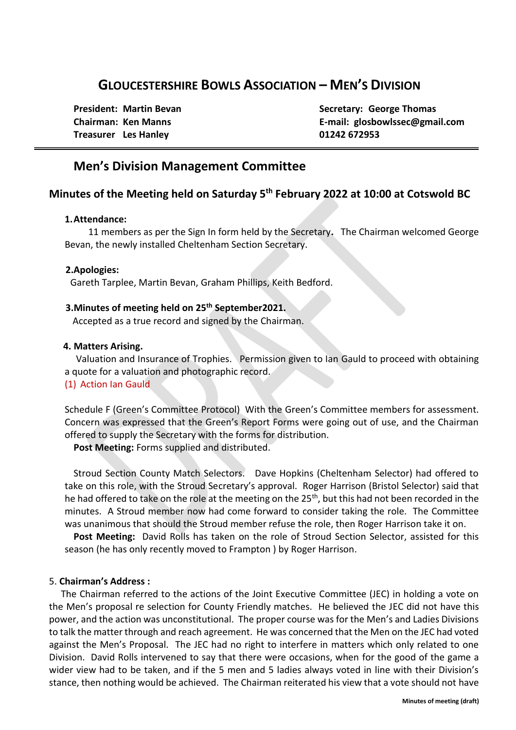## **GLOUCESTERSHIRE BOWLS ASSOCIATION – MEN'S DIVISION**

**Treasurer Les Hanley 01242 672953**

**President:** Martin Bevan **Secretary:** George Thomas **Chairman: Ken Manns E-mail: glosbowlssec@gmail.com**

## **Men's Division Management Committee**

### **Minutes of the Meeting held on Saturday 5th February 2022 at 10:00 at Cotswold BC**

#### **1.Attendance:**

 11 members as per the Sign In form held by the Secretary**.** The Chairman welcomed George Bevan, the newly installed Cheltenham Section Secretary.

#### **2.Apologies:**

Gareth Tarplee, Martin Bevan, Graham Phillips, Keith Bedford.

#### **3.Minutes of meeting held on 25th September2021.**

Accepted as a true record and signed by the Chairman.

#### **4. Matters Arising.**

Valuation and Insurance of Trophies. Permission given to Ian Gauld to proceed with obtaining a quote for a valuation and photographic record.

#### (1) Action Ian Gauld

Schedule F (Green's Committee Protocol) With the Green's Committee members for assessment. Concern was expressed that the Green's Report Forms were going out of use, and the Chairman offered to supply the Secretary with the forms for distribution.

**Post Meeting:** Forms supplied and distributed.

Stroud Section County Match Selectors. Dave Hopkins (Cheltenham Selector) had offered to take on this role, with the Stroud Secretary's approval. Roger Harrison (Bristol Selector) said that he had offered to take on the role at the meeting on the 25<sup>th</sup>, but this had not been recorded in the minutes. A Stroud member now had come forward to consider taking the role. The Committee was unanimous that should the Stroud member refuse the role, then Roger Harrison take it on.

**Post Meeting:** David Rolls has taken on the role of Stroud Section Selector, assisted for this season (he has only recently moved to Frampton ) by Roger Harrison.

#### 5. **Chairman's Address :**

The Chairman referred to the actions of the Joint Executive Committee (JEC) in holding a vote on the Men's proposal re selection for County Friendly matches. He believed the JEC did not have this power, and the action was unconstitutional. The proper course was for the Men's and Ladies Divisions to talk the matter through and reach agreement. He was concerned that the Men on the JEC had voted against the Men's Proposal. The JEC had no right to interfere in matters which only related to one Division. David Rolls intervened to say that there were occasions, when for the good of the game a wider view had to be taken, and if the 5 men and 5 ladies always voted in line with their Division's stance, then nothing would be achieved. The Chairman reiterated his view that a vote should not have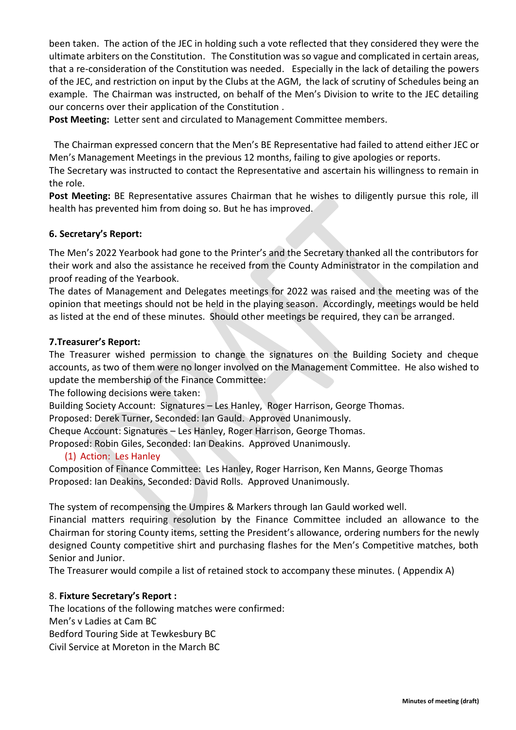been taken. The action of the JEC in holding such a vote reflected that they considered they were the ultimate arbiters on the Constitution. The Constitution was so vague and complicated in certain areas, that a re-consideration of the Constitution was needed. Especially in the lack of detailing the powers of the JEC, and restriction on input by the Clubs at the AGM, the lack of scrutiny of Schedules being an example. The Chairman was instructed, on behalf of the Men's Division to write to the JEC detailing our concerns over their application of the Constitution .

**Post Meeting:** Letter sent and circulated to Management Committee members.

 The Chairman expressed concern that the Men's BE Representative had failed to attend either JEC or Men's Management Meetings in the previous 12 months, failing to give apologies or reports.

The Secretary was instructed to contact the Representative and ascertain his willingness to remain in the role.

**Post Meeting:** BE Representative assures Chairman that he wishes to diligently pursue this role, ill health has prevented him from doing so. But he has improved.

#### **6. Secretary's Report:**

The Men's 2022 Yearbook had gone to the Printer's and the Secretary thanked all the contributors for their work and also the assistance he received from the County Administrator in the compilation and proof reading of the Yearbook.

The dates of Management and Delegates meetings for 2022 was raised and the meeting was of the opinion that meetings should not be held in the playing season. Accordingly, meetings would be held as listed at the end of these minutes. Should other meetings be required, they can be arranged.

#### **7.Treasurer's Report:**

The Treasurer wished permission to change the signatures on the Building Society and cheque accounts, as two of them were no longer involved on the Management Committee. He also wished to update the membership of the Finance Committee:

The following decisions were taken:

Building Society Account: Signatures – Les Hanley, Roger Harrison, George Thomas.

Proposed: Derek Turner, Seconded: Ian Gauld. Approved Unanimously.

Cheque Account: Signatures – Les Hanley, Roger Harrison, George Thomas.

Proposed: Robin Giles, Seconded: Ian Deakins. Approved Unanimously.

#### (1) Action: Les Hanley

Composition of Finance Committee: Les Hanley, Roger Harrison, Ken Manns, George Thomas Proposed: Ian Deakins, Seconded: David Rolls. Approved Unanimously.

The system of recompensing the Umpires & Markers through Ian Gauld worked well.

Financial matters requiring resolution by the Finance Committee included an allowance to the Chairman for storing County items, setting the President's allowance, ordering numbers for the newly designed County competitive shirt and purchasing flashes for the Men's Competitive matches, both Senior and Junior.

The Treasurer would compile a list of retained stock to accompany these minutes. ( Appendix A)

#### 8. **Fixture Secretary's Report :**

The locations of the following matches were confirmed: Men's v Ladies at Cam BC Bedford Touring Side at Tewkesbury BC Civil Service at Moreton in the March BC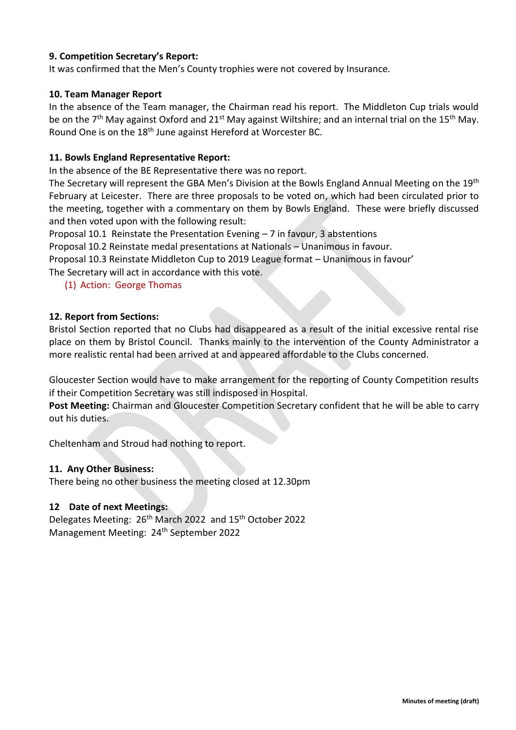#### **9. Competition Secretary's Report:**

It was confirmed that the Men's County trophies were not covered by Insurance.

#### **10. Team Manager Report**

In the absence of the Team manager, the Chairman read his report. The Middleton Cup trials would be on the 7<sup>th</sup> May against Oxford and 21<sup>st</sup> May against Wiltshire; and an internal trial on the 15<sup>th</sup> May. Round One is on the 18th June against Hereford at Worcester BC.

#### **11. Bowls England Representative Report:**

In the absence of the BE Representative there was no report.

The Secretary will represent the GBA Men's Division at the Bowls England Annual Meeting on the 19<sup>th</sup> February at Leicester. There are three proposals to be voted on, which had been circulated prior to the meeting, together with a commentary on them by Bowls England. These were briefly discussed and then voted upon with the following result:

Proposal 10.1 Reinstate the Presentation Evening – 7 in favour, 3 abstentions

Proposal 10.2 Reinstate medal presentations at Nationals – Unanimous in favour.

Proposal 10.3 Reinstate Middleton Cup to 2019 League format – Unanimous in favour'

The Secretary will act in accordance with this vote.

#### (1) Action: George Thomas

#### **12. Report from Sections:**

Bristol Section reported that no Clubs had disappeared as a result of the initial excessive rental rise place on them by Bristol Council. Thanks mainly to the intervention of the County Administrator a more realistic rental had been arrived at and appeared affordable to the Clubs concerned.

Gloucester Section would have to make arrangement for the reporting of County Competition results if their Competition Secretary was still indisposed in Hospital.

**Post Meeting:** Chairman and Gloucester Competition Secretary confident that he will be able to carry out his duties.

Cheltenham and Stroud had nothing to report.

#### **11. Any Other Business:**

There being no other business the meeting closed at 12.30pm

#### **12 Date of next Meetings:**

Delegates Meeting: 26th March 2022 and 15th October 2022 Management Meeting: 24<sup>th</sup> September 2022